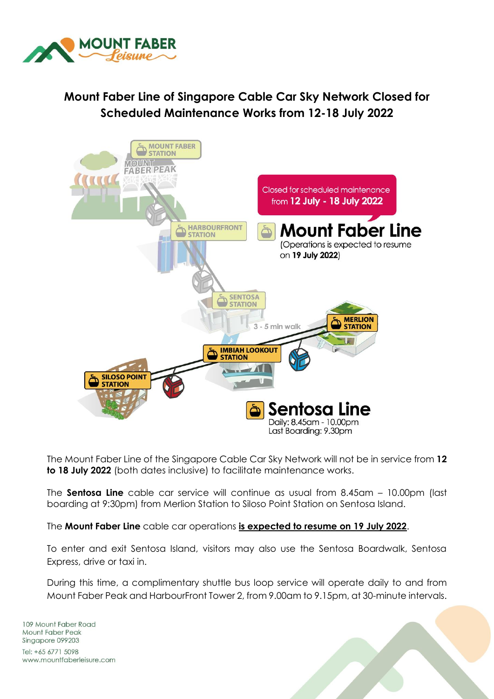

## **Mount Faber Line of Singapore Cable Car Sky Network Closed for Scheduled Maintenance Works from 12-18 July 2022**



The Mount Faber Line of the Singapore Cable Car Sky Network will not be in service from **12 to 18 July 2022** (both dates inclusive) to facilitate maintenance works.

The **Sentosa Line** cable car service will continue as usual from 8.45am – 10.00pm (last boarding at 9:30pm) from Merlion Station to Siloso Point Station on Sentosa Island.

The **Mount Faber Line** cable car operations **is expected to resume on 19 July 2022**.

To enter and exit Sentosa Island, visitors may also use the Sentosa Boardwalk, Sentosa Express, drive or taxi in.

During this time, a complimentary shuttle bus loop service will operate daily to and from Mount Faber Peak and HarbourFront Tower 2, from 9.00am to 9.15pm, at 30-minute intervals.

109 Mount Faber Road Mount Faber Peak Singapore 099203 Tel: +65 6771 5098 www.mountfaberleisure.com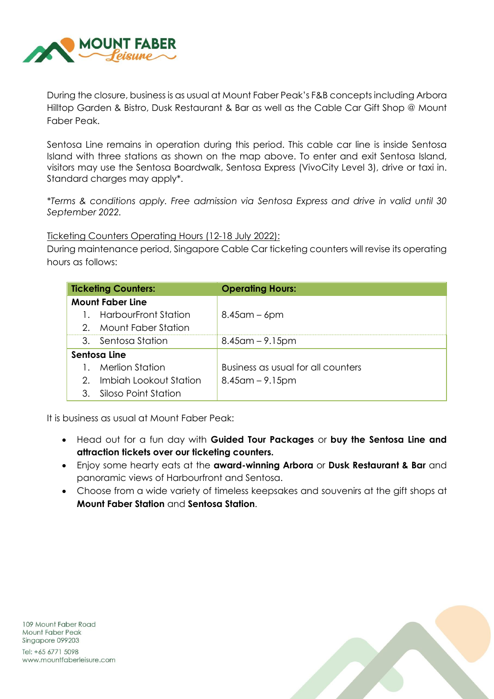

During the closure, business is as usual at Mount Faber Peak's F&B concepts including Arbora Hilltop Garden & Bistro, Dusk Restaurant & Bar as well as the Cable Car Gift Shop @ Mount Faber Peak.

Sentosa Line remains in operation during this period. This cable car line is inside Sentosa Island with three stations as shown on the map above. To enter and exit Sentosa Island, visitors may use the Sentosa Boardwalk, Sentosa Express (VivoCity Level 3), drive or taxi in. Standard charges may apply\*.

*\*Terms & conditions apply. Free admission via Sentosa Express and drive in valid until 30 September 2022.* 

Ticketing Counters Operating Hours (12-18 July 2022):

During maintenance period, Singapore Cable Car ticketing counters will revise its operating hours as follows:

| <b>Ticketing Counters:</b> |                             | <b>Operating Hours:</b>            |
|----------------------------|-----------------------------|------------------------------------|
| <b>Mount Faber Line</b>    |                             |                                    |
|                            | <b>HarbourFront Station</b> | $8.45$ am – 6pm                    |
| $2^{\circ}$                | - Mount Faber Station       |                                    |
|                            | 3. Sentosa Station          | $8.45$ am – 9.15pm                 |
| Sentosa Line               |                             |                                    |
|                            | Merlion Station             | Business as usual for all counters |
| 2.                         | Imbiah Lookout Station      | $8.45$ am – 9.15pm                 |
| 3.                         | Siloso Point Station        |                                    |

It is business as usual at Mount Faber Peak:

- Head out for a fun day with **Guided Tour Packages** or **buy the Sentosa Line and attraction tickets over our ticketing counters.**
- Enjoy some hearty eats at the **award-winning Arbora** or **Dusk Restaurant & Bar** and panoramic views of Harbourfront and Sentosa.
- Choose from a wide variety of timeless keepsakes and souvenirs at the gift shops at **Mount Faber Station** and **Sentosa Station**.

109 Mount Faber Road **Mount Faber Peak** Singapore 099203

Tel: +65 6771 5098 www.mountfaberleisure.com

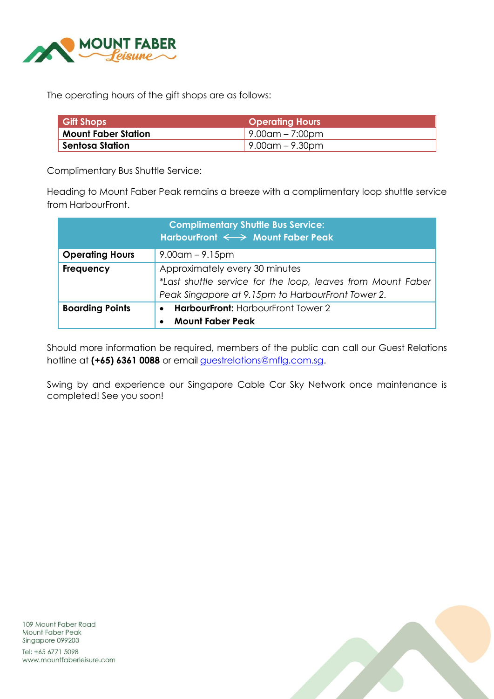

The operating hours of the gift shops are as follows:

| <b>Gift Shops</b>          | <b>Operating Hours</b>       |  |  |
|----------------------------|------------------------------|--|--|
| <b>Mount Faber Station</b> | $\frac{1}{2}$ .00am – 7:00pm |  |  |
| Sentosa Station            | $\sqrt{9.00}$ am – 9.30pm    |  |  |

Complimentary Bus Shuttle Service:

Heading to Mount Faber Peak remains a breeze with a complimentary loop shuttle service from HarbourFront.

|                        | <b>Complimentary Shuttle Bus Service:</b><br>HarbourFront $\iff$ Mount Faber Peak                                                                  |
|------------------------|----------------------------------------------------------------------------------------------------------------------------------------------------|
| <b>Operating Hours</b> | $9.00$ am – 9.15pm                                                                                                                                 |
| <b>Frequency</b>       | Approximately every 30 minutes<br>*Last shuttle service for the loop, leaves from Mount Faber<br>Peak Singapore at 9.15pm to HarbourFront Tower 2. |
| <b>Boarding Points</b> | <b>HarbourFront: HarbourFront Tower 2</b><br>$\bullet$<br><b>Mount Faber Peak</b>                                                                  |

Should more information be required, members of the public can call our Guest Relations hotline at **(+65) 6361 0088** or email [guestrelations@mflg.com.sg.](mailto:guestrelations@mflg.com.sg)

Swing by and experience our Singapore Cable Car Sky Network once maintenance is completed! See you soon!

109 Mount Faber Road Mount Faber Peak Singapore 099203

Tel: +65 6771 5098 www.mountfaberleisure.com